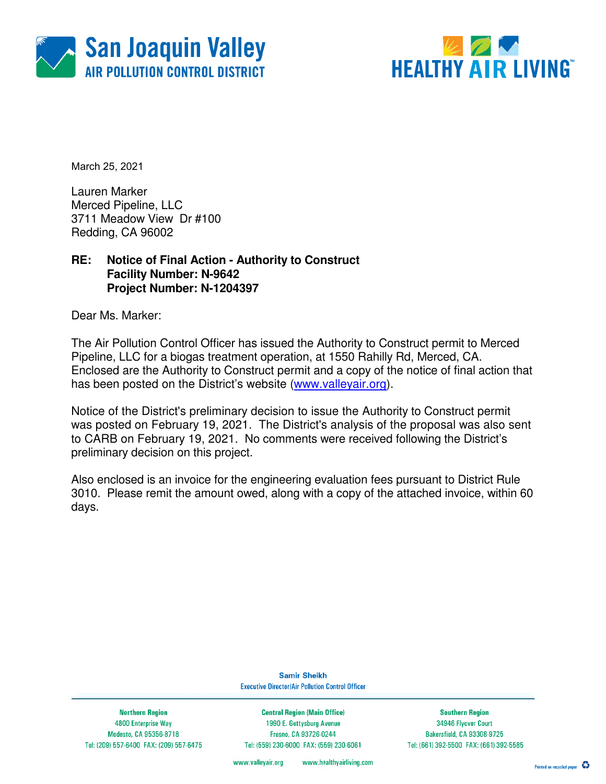



March 25, 2021

Lauren Marker Merced Pipeline, LLC 3711 Meadow View Dr #100 Redding, CA 96002

### **RE: Notice of Final Action - Authority to Construct Facility Number: N-9642 Project Number: N-1204397**

Dear Ms. Marker:

The Air Pollution Control Officer has issued the Authority to Construct permit to Merced Pipeline, LLC for a biogas treatment operation, at 1550 Rahilly Rd, Merced, CA. Enclosed are the Authority to Construct permit and a copy of the notice of final action that has been posted on the District's website (www.valleyair.org).

Notice of the District's preliminary decision to issue the Authority to Construct permit was posted on February 19, 2021. The District's analysis of the proposal was also sent to CARB on February 19, 2021. No comments were received following the District's preliminary decision on this project.

Also enclosed is an invoice for the engineering evaluation fees pursuant to District Rule 3010. Please remit the amount owed, along with a copy of the attached invoice, within 60 days.

> **Samir Sheikh Executive Director/Air Pollution Control Officer**

**Northern Region** 4800 Enterprise Way Modesto, CA 95356-8718 Tel: (209) 557-6400 FAX: (209) 557-6475

**Central Region (Main Office)** 1990 E. Gettysburg Avenue Fresno, CA 93726-0244 Tel: (559) 230-6000 FAX: (559) 230-6061

**Southern Region** 34946 Flyover Court Bakersfield, CA 93308-9725 Tel: (661) 392-5500 FAX: (661) 392-5585

www.healthyairliving.com www.valleyair.org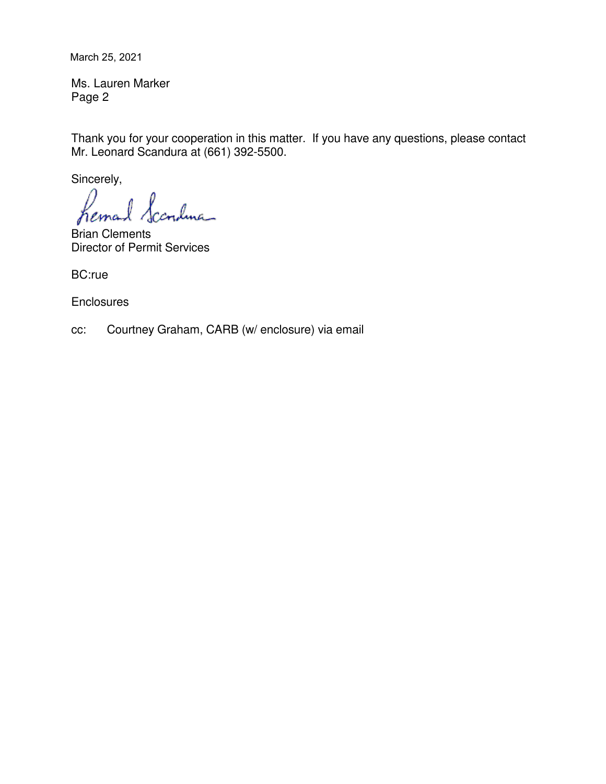March 25, 2021

Ms. Lauren Marker Page 2

Thank you for your cooperation in this matter. If you have any questions, please contact Mr. Leonard Scandura at (661) 392-5500.

Sincerely,

ndma hema

Brian Clements Director of Permit Services

BC:rue

**Enclosures** 

cc: Courtney Graham, CARB (w/ enclosure) via email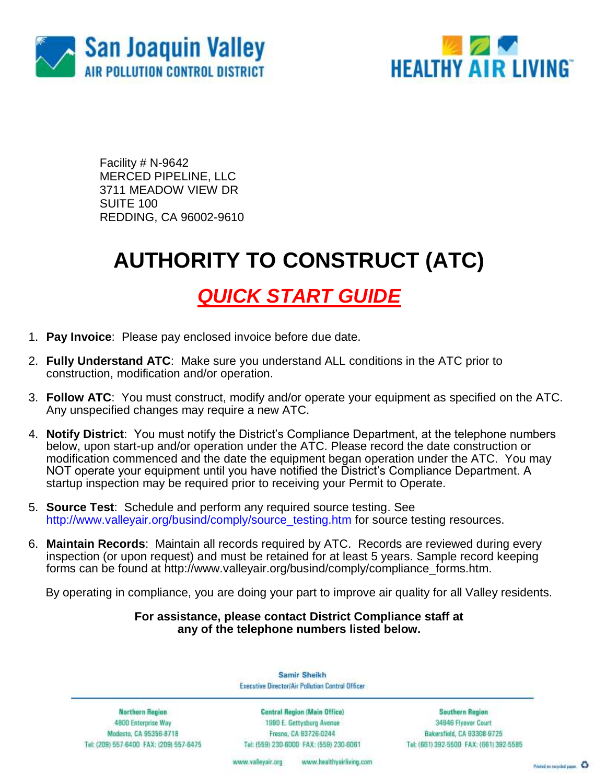



Facility # N-9642 MERCED PIPELINE, LLC 3711 MEADOW VIEW DR SUITE 100 REDDING, CA 96002-9610

# **AUTHORITY TO CONSTRUCT (ATC)**

### *QUICK START GUIDE*

- 1. **Pay Invoice**: Please pay enclosed invoice before due date.
- 2. **Fully Understand ATC**: Make sure you understand ALL conditions in the ATC prior to construction, modification and/or operation.
- 3. **Follow ATC**: You must construct, modify and/or operate your equipment as specified on the ATC. Any unspecified changes may require a new ATC.
- 4. **Notify District**: You must notify the District's Compliance Department, at the telephone numbers below, upon start-up and/or operation under the ATC. Please record the date construction or modification commenced and the date the equipment began operation under the ATC. You may NOT operate your equipment until you have notified the District's Compliance Department. A startup inspection may be required prior to receiving your Permit to Operate.
- 5. **Source Test**: Schedule and perform any required source testing. See [http://www.valleyair.org/busind/comply/source\\_testing.htm](http://www.valleyair.org/busind/comply/source_testing.htm) for source testing resources.
- 6. **Maintain Records**:Maintain all records required by ATC. Records are reviewed during every inspection (or upon request) and must be retained for at least 5 years. Sample record keeping forms can be found at http://www.valleyair.org/busind/comply/compliance\_forms.htm.

By operating in compliance, you are doing your part to improve air quality for all Valley residents.

### **For assistance, please contact District Compliance staff at any of the telephone numbers listed below.**

Samir Sheikh Executive Director/Air Pollution Control Officer

Northern Region 4800 Enterprise Way Modesto, CA 95356-8718 Tel: (209) 557-6400 FAX: (209) 557-6475

Central Region (Main Office) 1990 E. Gettysburg Avenue Fresna, CA 93726-0244 Tel: (559) 230-6000 FAX: (559) 230-6061

**Southern Region** 34946 Flyover Court Bakersfield, CA 93308-9725 Tel: (661) 392-5500 FAX: (661) 392-5585

www.bealthyairliving.com www.valleyair.org

Preced on recycled paper. 43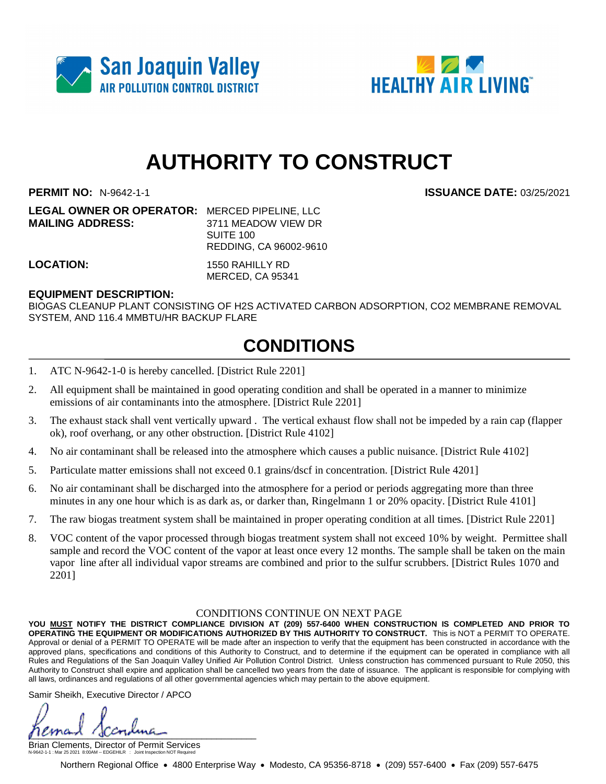



## **AUTHORITY TO CONSTRUCT**

**LEGAL OWNER OR OPERATOR:** MERCED PIPELINE, LLC **MAILING ADDRESS:** 3711 MEADOW VIEW DR

SUITE 100 REDDING, CA 96002-9610

**LOCATION:** 1550 RAHILLY RD MERCED, CA 95341

#### **EQUIPMENT DESCRIPTION:**

BIOGAS CLEANUP PLANT CONSISTING OF H2S ACTIVATED CARBON ADSORPTION, CO2 MEMBRANE REMOVAL SYSTEM, AND 116.4 MMBTU/HR BACKUP FLARE

### **CONDITIONS**

- 1. ATC N-9642-1-0 is hereby cancelled. [District Rule 2201]
- 2. All equipment shall be maintained in good operating condition and shall be operated in a manner to minimize emissions of air contaminants into the atmosphere. [District Rule 2201]
- 3. The exhaust stack shall vent vertically upward . The vertical exhaust flow shall not be impeded by a rain cap (flapper ok), roof overhang, or any other obstruction. [District Rule 4102]
- 4. No air contaminant shall be released into the atmosphere which causes a public nuisance. [District Rule 4102]
- 5. Particulate matter emissions shall not exceed 0.1 grains/dscf in concentration. [District Rule 4201]
- 6. No air contaminant shall be discharged into the atmosphere for a period or periods aggregating more than three minutes in any one hour which is as dark as, or darker than, Ringelmann 1 or 20% opacity. [District Rule 4101]
- 7. The raw biogas treatment system shall be maintained in proper operating condition at all times. [District Rule 2201]
- 8. VOC content of the vapor processed through biogas treatment system shall not exceed 10% by weight. Permittee shall sample and record the VOC content of the vapor at least once every 12 months. The sample shall be taken on the main vapor line after all individual vapor streams are combined and prior to the sulfur scrubbers. [District Rules 1070 and 2201]

#### CONDITIONS CONTINUE ON NEXT PAGE

**YOU MUST NOTIFY THE DISTRICT COMPLIANCE DIVISION AT (209) 557-6400 WHEN CONSTRUCTION IS COMPLETED AND PRIOR TO OPERATING THE EQUIPMENT OR MODIFICATIONS AUTHORIZED BY THIS AUTHORITY TO CONSTRUCT.** This is NOT a PERMIT TO OPERATE. Approval or denial of a PERMIT TO OPERATE will be made after an inspection to verify that the equipment has been constructed in accordance with the approved plans, specifications and conditions of this Authority to Construct, and to determine if the equipment can be operated in compliance with all Rules and Regulations of the San Joaquin Valley Unified Air Pollution Control District. Unless construction has commenced pursuant to Rule 2050, this Authority to Construct shall expire and application shall be cancelled two years from the date of issuance. The applicant is responsible for complying with all laws, ordinances and regulations of all other governmental agencies which may pertain to the above equipment.

Samir Sheikh, Executive Director / APCO

 $\mu$ 

Brian Clements, Director of Permit Services N-9642-1-1 : Mar 25 2021 8:00AM -- EDGEHILR : Joint Inspection NOT Required

Northern Regional Office • 4800 Enterprise Way • Modesto, CA 95356-8718 • (209) 557-6400 • Fax (209) 557-6475

**PERMIT NO:** N-9642-1-1 **ISSUANCE DATE:** 03/25/2021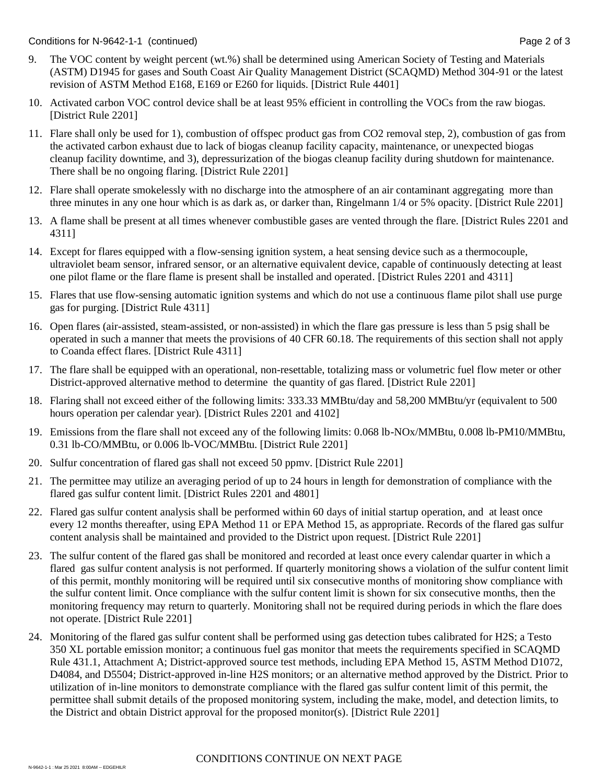- 9. The VOC content by weight percent (wt.%) shall be determined using American Society of Testing and Materials (ASTM) D1945 for gases and South Coast Air Quality Management District (SCAQMD) Method 304-91 or the latest revision of ASTM Method E168, E169 or E260 for liquids. [District Rule 4401]
- 10. Activated carbon VOC control device shall be at least 95% efficient in controlling the VOCs from the raw biogas. [District Rule 2201]
- 11. Flare shall only be used for 1), combustion of offspec product gas from CO2 removal step, 2), combustion of gas from the activated carbon exhaust due to lack of biogas cleanup facility capacity, maintenance, or unexpected biogas cleanup facility downtime, and 3), depressurization of the biogas cleanup facility during shutdown for maintenance. There shall be no ongoing flaring. [District Rule 2201]
- 12. Flare shall operate smokelessly with no discharge into the atmosphere of an air contaminant aggregating more than three minutes in any one hour which is as dark as, or darker than, Ringelmann 1/4 or 5% opacity. [District Rule 2201]
- 13. A flame shall be present at all times whenever combustible gases are vented through the flare. [District Rules 2201 and 4311]
- 14. Except for flares equipped with a flow-sensing ignition system, a heat sensing device such as a thermocouple, ultraviolet beam sensor, infrared sensor, or an alternative equivalent device, capable of continuously detecting at least one pilot flame or the flare flame is present shall be installed and operated. [District Rules 2201 and 4311]
- 15. Flares that use flow-sensing automatic ignition systems and which do not use a continuous flame pilot shall use purge gas for purging. [District Rule 4311]
- 16. Open flares (air-assisted, steam-assisted, or non-assisted) in which the flare gas pressure is less than 5 psig shall be operated in such a manner that meets the provisions of 40 CFR 60.18. The requirements of this section shall not apply to Coanda effect flares. [District Rule 4311]
- 17. The flare shall be equipped with an operational, non-resettable, totalizing mass or volumetric fuel flow meter or other District-approved alternative method to determine the quantity of gas flared. [District Rule 2201]
- 18. Flaring shall not exceed either of the following limits: 333.33 MMBtu/day and 58,200 MMBtu/yr (equivalent to 500 hours operation per calendar year). [District Rules 2201 and 4102]
- 19. Emissions from the flare shall not exceed any of the following limits: 0.068 lb-NOx/MMBtu, 0.008 lb-PM10/MMBtu, 0.31 lb-CO/MMBtu, or 0.006 lb-VOC/MMBtu. [District Rule 2201]
- 20. Sulfur concentration of flared gas shall not exceed 50 ppmv. [District Rule 2201]
- 21. The permittee may utilize an averaging period of up to 24 hours in length for demonstration of compliance with the flared gas sulfur content limit. [District Rules 2201 and 4801]
- 22. Flared gas sulfur content analysis shall be performed within 60 days of initial startup operation, and at least once every 12 months thereafter, using EPA Method 11 or EPA Method 15, as appropriate. Records of the flared gas sulfur content analysis shall be maintained and provided to the District upon request. [District Rule 2201]
- 23. The sulfur content of the flared gas shall be monitored and recorded at least once every calendar quarter in which a flared gas sulfur content analysis is not performed. If quarterly monitoring shows a violation of the sulfur content limit of this permit, monthly monitoring will be required until six consecutive months of monitoring show compliance with the sulfur content limit. Once compliance with the sulfur content limit is shown for six consecutive months, then the monitoring frequency may return to quarterly. Monitoring shall not be required during periods in which the flare does not operate. [District Rule 2201]
- 24. Monitoring of the flared gas sulfur content shall be performed using gas detection tubes calibrated for H2S; a Testo 350 XL portable emission monitor; a continuous fuel gas monitor that meets the requirements specified in SCAQMD Rule 431.1, Attachment A; District-approved source test methods, including EPA Method 15, ASTM Method D1072, D4084, and D5504; District-approved in-line H2S monitors; or an alternative method approved by the District. Prior to utilization of in-line monitors to demonstrate compliance with the flared gas sulfur content limit of this permit, the permittee shall submit details of the proposed monitoring system, including the make, model, and detection limits, to the District and obtain District approval for the proposed monitor(s). [District Rule 2201]